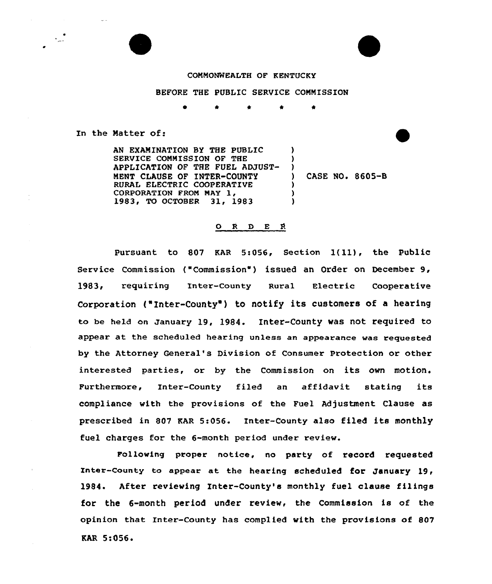

BEFORE THE PUBLIC SERVICE COMMISSION

In the Natter of:

AN EXAMINATION BY THE PUBLIC SERVICE COMMISSION OF THE APPLICATION OF THE FUEL ADJUST-MENT CLAUSE OF INTER-COUNTY RURAL ELECTRIC COOPERATIVE CORPORATION FROM MAY 1, 1983, TO OCTOBER 31, 1983  $\lambda$ )  $)$ ) CASE NO <sup>~</sup> 8605-B ) ) )

## O R D E R

Pursuant to 807 KAR 5:056, Section 1(11), the public Sexvice Commission ("Commission') issued an Order on December 9, ]983, xequiring Inter-County Rural Electxic Cooperative Corporation ("Inter-County") to notify its customers of a hearing to be held on January 19, l984. Inter-County was not required to appear at the scheduled hearing unless an appearance was requested by the Attorney General's Division of Consumex Protection or other interested parties, or by the Commission on its own motion. Furthermore, Inter-County filed an affidavit stating its compliance with the provisions of the Fuel Adjustment Clause as prescribed in 807 KAR 5:056. Inter-County also filed its monthly fuel charges for the 6-month period under review.

Following proper notice, no party of record requested Inter-County to appear at the hearing scheduled for January 19, 1984. After reviewing Inter-County's monthly fuel clause filings for the 6-month period under review, the Commission is of the opinion that Inter-County has complied with the provisions of 807 RAR 5:056'